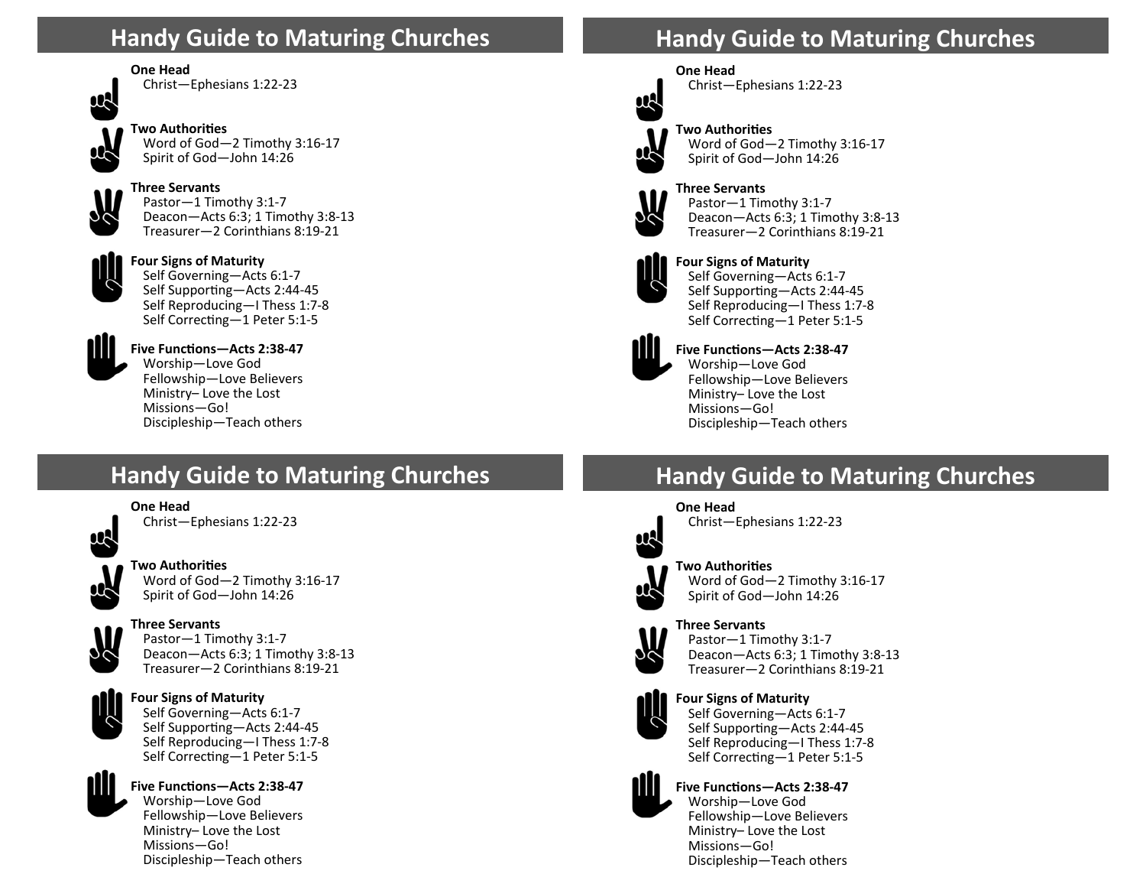# **Handy Guide to Maturing Churches**

### **One Head**



Christ—Ephesians 1:22‐23



**Two AuthoriƟes**  Word of God—2 Timothy 3:16‐17 Spirit of God—John 14:26



**Three Servants**  Pastor—1 Timothy 3:1‐7 Deacon—Acts 6:3; 1 Timothy 3:8‐13 Treasurer—2 Corinthians 8:19‐21



**Four Signs of Maturity**  Self Governing—Acts 6:1‐7 Self Supporting—Acts 2:44-45 Self Reproducing—I Thess 1:7‐8 Self Correcting–1 Peter 5:1-5



**Five FuncƟons—Acts 2:38‐47** 

Worship—Love God Fellowship—Love Believers Ministry– Love the Lost Missions—Go! Discipleship—Teach others

# **Handy Guide to Maturing Churches**

### **One Head**



Christ—Ephesians 1:22‐23



### **Two AuthoriƟes**

Word of God—2 Timothy 3:16‐17 Spirit of God—John 14:26



### **Three Servants**  Pastor—1 Timothy 3:1‐7

Deacon—Acts 6:3; 1 Timothy 3:8‐13 Treasurer—2 Corinthians 8:19‐21



**Four Signs of Maturity**  Self Governing—Acts 6:1‐7 Self Supporting—Acts 2:44-45 Self Reproducing—I Thess 1:7‐8 Self Correcting-1 Peter 5:1-5



### Five Functions-Acts 2:38-47

Worship—Love God Fellowship—Love Believers Ministry– Love the Lost Missions—Go! Discipleship—Teach others

# **Handy Guide to Maturing Churches**



**One Head** Christ—Ephesians 1:22‐23



# **Two AuthoriƟes**



Word of God—2 Timothy 3:16‐17



**Three Servants** Pastor—1 Timothy 3:1‐7 Deacon—Acts 6:3; 1 Timothy 3:8‐13 Treasurer—2 Corinthians 8:19‐21



#### **Four Signs of Maturity**  Self Governing—Acts 6:1‐7 Self Supporting-Acts 2:44-45 Self Reproducing—I Thess 1:7‐8 Self Correcting-1 Peter 5:1-5



#### **Five FuncƟons—Acts 2:38‐47**  Worship—Love God Fellowship—Love Believers Ministry– Love the Lost Missions—Go! Discipleship—Teach others

# **Handy Guide to Maturing Churches**





#### **Two AuthoriƟes**  Word of God—2 Timothy 3:16‐17 Spirit of God—John 14:26



#### **Three Servants** Pastor—1 Timothy 3:1‐7 Deacon—Acts 6:3; 1 Timothy 3:8‐13 Treasurer—2 Corinthians 8:19‐21



#### **Four Signs of Maturity**  Self Governing—Acts 6:1‐7 Self Supporting—Acts 2:44-45 Self Reproducing—I Thess 1:7‐8 Self Correcting-1 Peter 5:1-5



### Five Functions-Acts 2:38-47 Worship—Love God Fellowship—Love Believers Ministry– Love the Lost Missions—Go! Discipleship—Teach others